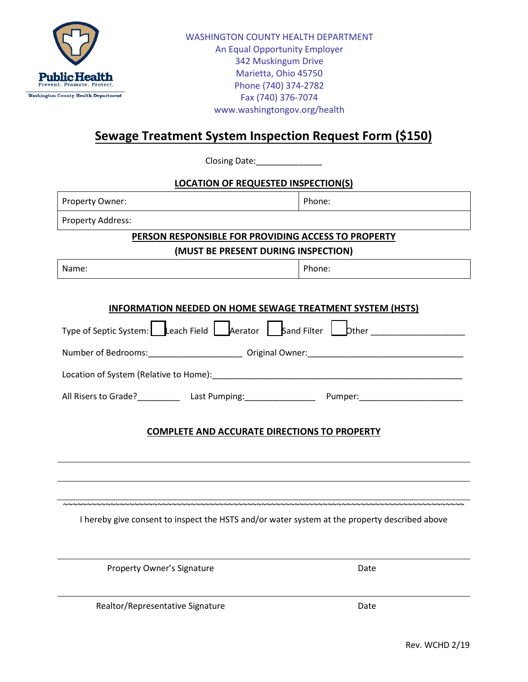

## **Sewage Treatment System Inspection Request Form (\$150)**

Closing Date:

## **LOCATION OF REQUESTED INSPECTION(S)**

| Property Owner:                                                                                                | Phone: |  |
|----------------------------------------------------------------------------------------------------------------|--------|--|
| <b>Property Address:</b>                                                                                       |        |  |
| PERSON RESPONSIBLE FOR PROVIDING ACCESS TO PROPERTY                                                            |        |  |
| (MUST BE PRESENT DURING INSPECTION)                                                                            |        |  |
| Name:                                                                                                          | Phone: |  |
|                                                                                                                |        |  |
| <b>INFORMATION NEEDED ON HOME SEWAGE TREATMENT SYSTEM (HSTS)</b>                                               |        |  |
| Type of Septic System: Leach Field Leverator Leband Filter Lebther Leben Lebens Lebens Leverator Lebens Lebens |        |  |
|                                                                                                                |        |  |
|                                                                                                                |        |  |
|                                                                                                                |        |  |
| <b>COMPLETE AND ACCURATE DIRECTIONS TO PROPERTY</b>                                                            |        |  |
|                                                                                                                |        |  |
| I hereby give consent to inspect the HSTS and/or water system at the property described above                  |        |  |
| Property Owner's Signature                                                                                     | Date   |  |
| Realtor/Representative Signature                                                                               | Date   |  |